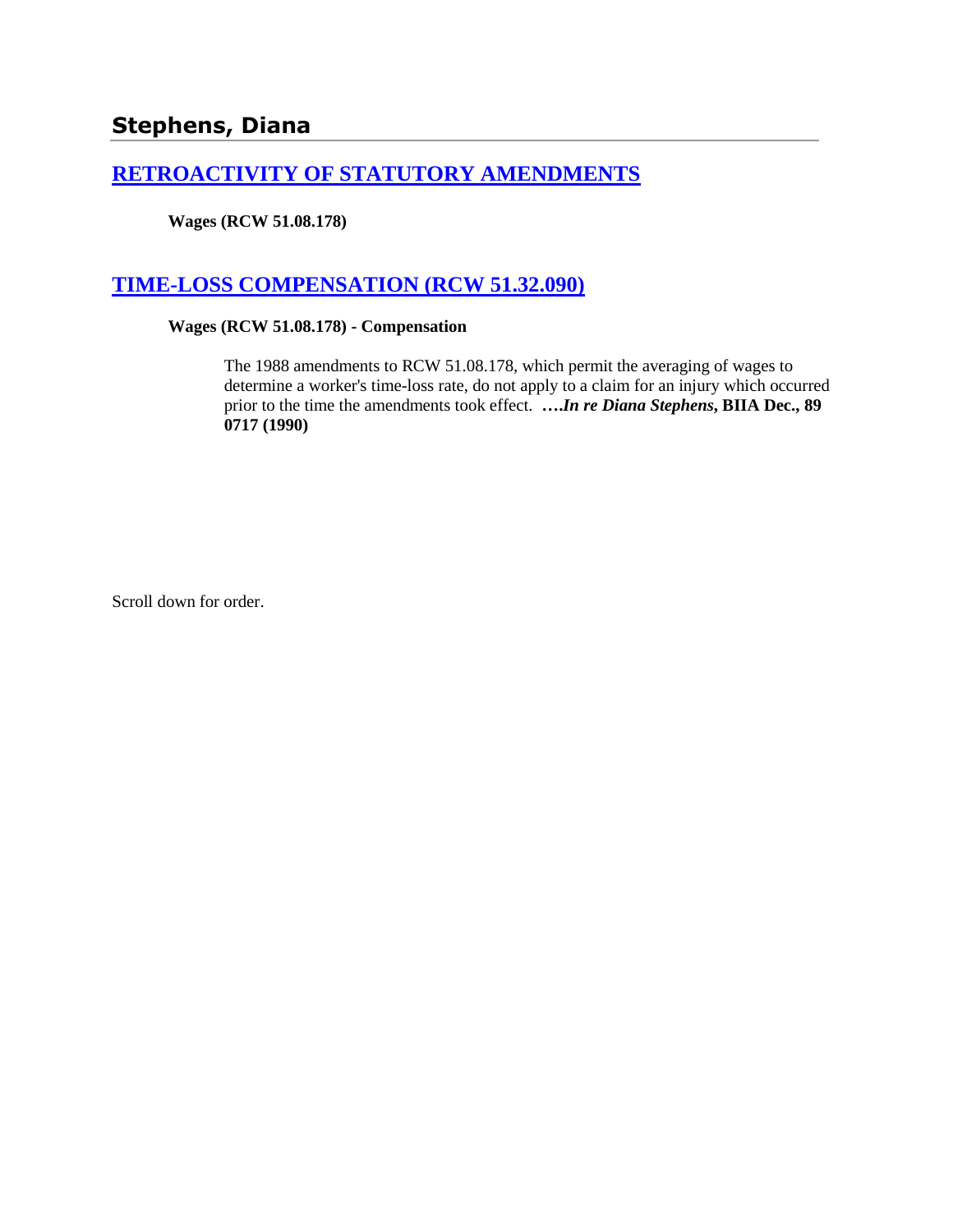# **Stephens, Diana**

## **[RETROACTIVITY OF STATUTORY AMENDMENTS](http://www.biia.wa.gov/SDSubjectIndex.html#RETROACTIVITY_OF_STATUTORY_AMENDMENTS)**

**Wages (RCW 51.08.178)**

## **[TIME-LOSS COMPENSATION \(RCW 51.32.090\)](http://www.biia.wa.gov/SDSubjectIndex.html#TIME_LOSS_COMPENSATION)**

#### **Wages (RCW 51.08.178) - Compensation**

The 1988 amendments to RCW 51.08.178, which permit the averaging of wages to determine a worker's time-loss rate, do not apply to a claim for an injury which occurred prior to the time the amendments took effect. **….***In re Diana Stephens***, BIIA Dec., 89 0717 (1990)** 

Scroll down for order.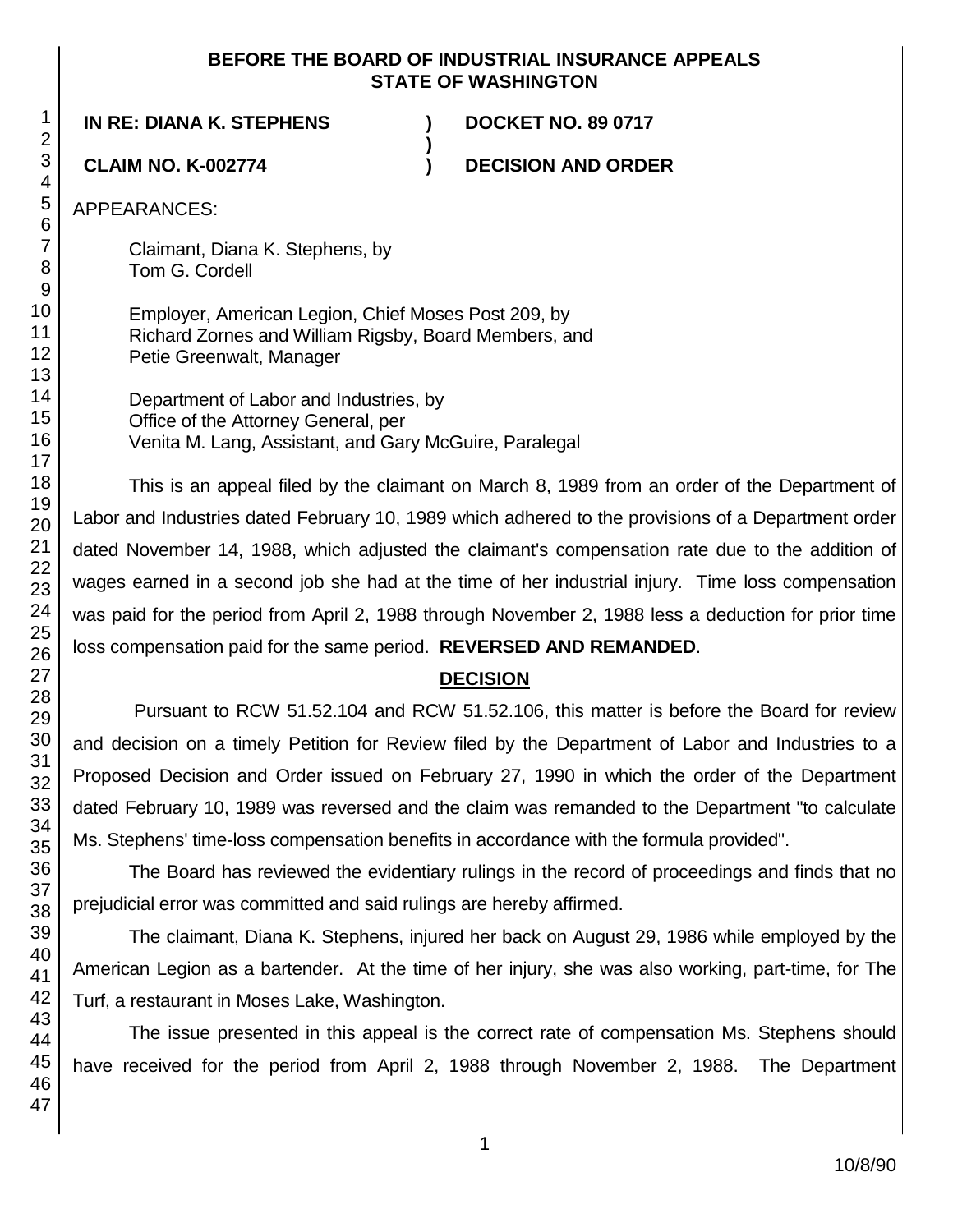### **BEFORE THE BOARD OF INDUSTRIAL INSURANCE APPEALS STATE OF WASHINGTON**

**)**

**IN RE: DIANA K. STEPHENS ) DOCKET NO. 89 0717**

**CLAIM NO. K-002774 ) DECISION AND ORDER**

APPEARANCES:

Claimant, Diana K. Stephens, by Tom G. Cordell

Employer, American Legion, Chief Moses Post 209, by Richard Zornes and William Rigsby, Board Members, and Petie Greenwalt, Manager

Department of Labor and Industries, by Office of the Attorney General, per Venita M. Lang, Assistant, and Gary McGuire, Paralegal

This is an appeal filed by the claimant on March 8, 1989 from an order of the Department of Labor and Industries dated February 10, 1989 which adhered to the provisions of a Department order dated November 14, 1988, which adjusted the claimant's compensation rate due to the addition of wages earned in a second job she had at the time of her industrial injury. Time loss compensation was paid for the period from April 2, 1988 through November 2, 1988 less a deduction for prior time loss compensation paid for the same period. **REVERSED AND REMANDED**.

## **DECISION**

Pursuant to RCW 51.52.104 and RCW 51.52.106, this matter is before the Board for review and decision on a timely Petition for Review filed by the Department of Labor and Industries to a Proposed Decision and Order issued on February 27, 1990 in which the order of the Department dated February 10, 1989 was reversed and the claim was remanded to the Department "to calculate Ms. Stephens' time-loss compensation benefits in accordance with the formula provided".

The Board has reviewed the evidentiary rulings in the record of proceedings and finds that no prejudicial error was committed and said rulings are hereby affirmed.

The claimant, Diana K. Stephens, injured her back on August 29, 1986 while employed by the American Legion as a bartender. At the time of her injury, she was also working, part-time, for The Turf, a restaurant in Moses Lake, Washington.

The issue presented in this appeal is the correct rate of compensation Ms. Stephens should have received for the period from April 2, 1988 through November 2, 1988. The Department

1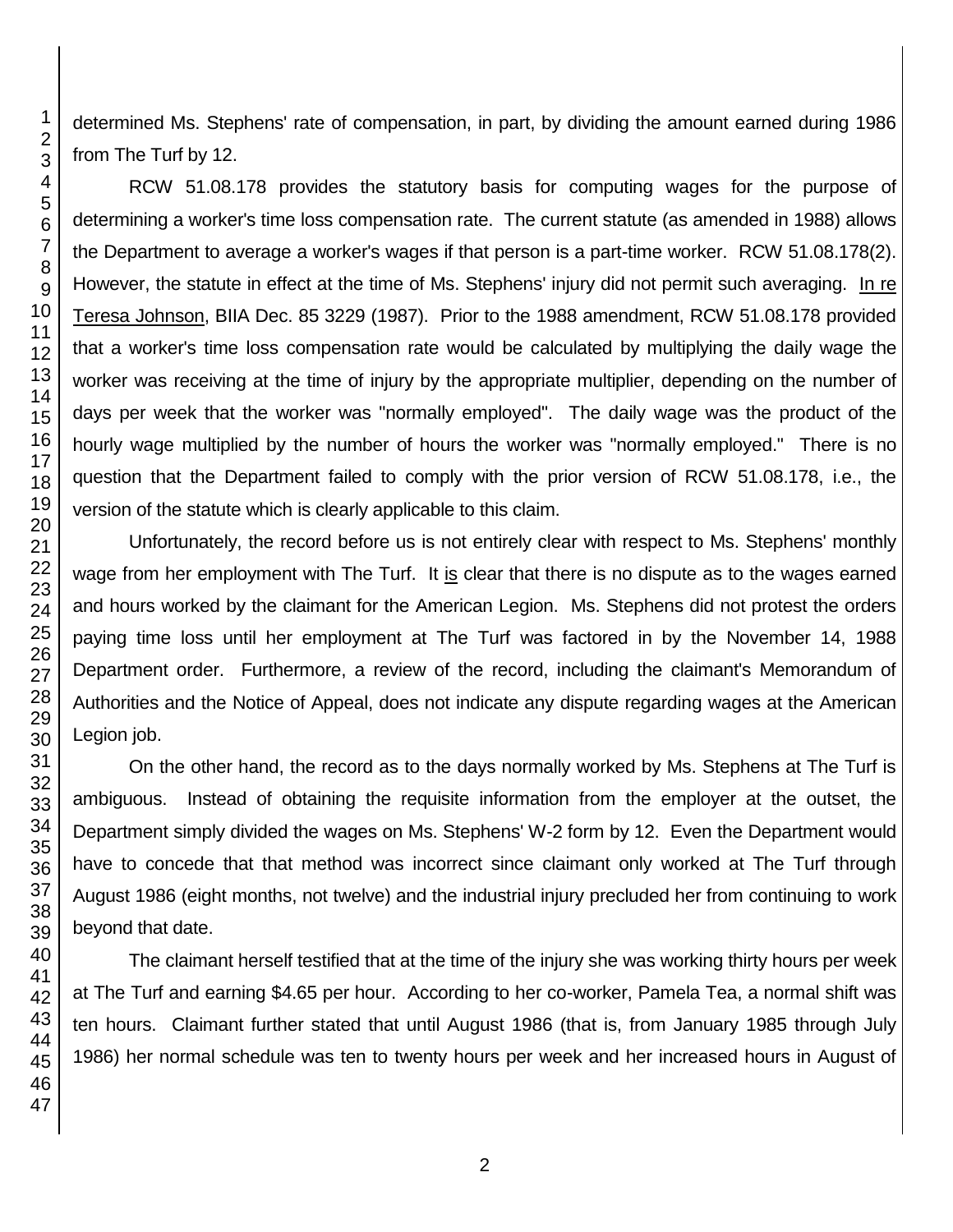determined Ms. Stephens' rate of compensation, in part, by dividing the amount earned during 1986 from The Turf by 12.

RCW 51.08.178 provides the statutory basis for computing wages for the purpose of determining a worker's time loss compensation rate. The current statute (as amended in 1988) allows the Department to average a worker's wages if that person is a part-time worker. RCW 51.08.178(2). However, the statute in effect at the time of Ms. Stephens' injury did not permit such averaging. In re Teresa Johnson, BIIA Dec. 85 3229 (1987). Prior to the 1988 amendment, RCW 51.08.178 provided that a worker's time loss compensation rate would be calculated by multiplying the daily wage the worker was receiving at the time of injury by the appropriate multiplier, depending on the number of days per week that the worker was "normally employed". The daily wage was the product of the hourly wage multiplied by the number of hours the worker was "normally employed." There is no question that the Department failed to comply with the prior version of RCW 51.08.178, i.e., the version of the statute which is clearly applicable to this claim.

Unfortunately, the record before us is not entirely clear with respect to Ms. Stephens' monthly wage from her employment with The Turf. It is clear that there is no dispute as to the wages earned and hours worked by the claimant for the American Legion. Ms. Stephens did not protest the orders paying time loss until her employment at The Turf was factored in by the November 14, 1988 Department order. Furthermore, a review of the record, including the claimant's Memorandum of Authorities and the Notice of Appeal, does not indicate any dispute regarding wages at the American Legion job.

On the other hand, the record as to the days normally worked by Ms. Stephens at The Turf is ambiguous. Instead of obtaining the requisite information from the employer at the outset, the Department simply divided the wages on Ms. Stephens' W-2 form by 12. Even the Department would have to concede that that method was incorrect since claimant only worked at The Turf through August 1986 (eight months, not twelve) and the industrial injury precluded her from continuing to work beyond that date.

The claimant herself testified that at the time of the injury she was working thirty hours per week at The Turf and earning \$4.65 per hour. According to her co-worker, Pamela Tea, a normal shift was ten hours. Claimant further stated that until August 1986 (that is, from January 1985 through July 1986) her normal schedule was ten to twenty hours per week and her increased hours in August of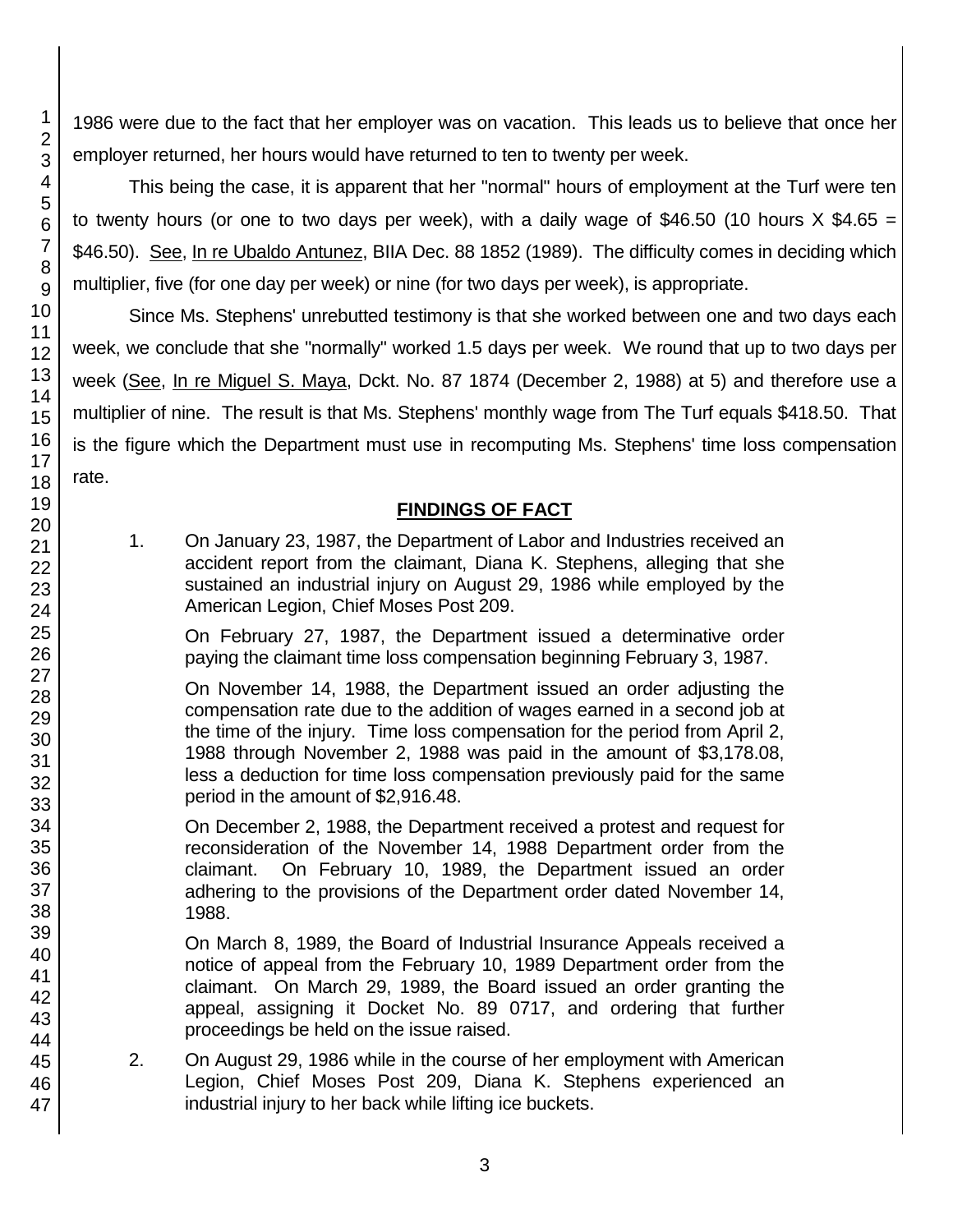1986 were due to the fact that her employer was on vacation. This leads us to believe that once her employer returned, her hours would have returned to ten to twenty per week.

This being the case, it is apparent that her "normal" hours of employment at the Turf were ten to twenty hours (or one to two days per week), with a daily wage of \$46.50 (10 hours  $X$  \$4.65 = \$46.50). See, In re Ubaldo Antunez, BIIA Dec. 88 1852 (1989). The difficulty comes in deciding which multiplier, five (for one day per week) or nine (for two days per week), is appropriate.

Since Ms. Stephens' unrebutted testimony is that she worked between one and two days each week, we conclude that she "normally" worked 1.5 days per week. We round that up to two days per week (See, In re Miguel S. Maya, Dckt. No. 87 1874 (December 2, 1988) at 5) and therefore use a multiplier of nine. The result is that Ms. Stephens' monthly wage from The Turf equals \$418.50. That is the figure which the Department must use in recomputing Ms. Stephens' time loss compensation rate.

## **FINDINGS OF FACT**

1. On January 23, 1987, the Department of Labor and Industries received an accident report from the claimant, Diana K. Stephens, alleging that she sustained an industrial injury on August 29, 1986 while employed by the American Legion, Chief Moses Post 209.

On February 27, 1987, the Department issued a determinative order paying the claimant time loss compensation beginning February 3, 1987.

On November 14, 1988, the Department issued an order adjusting the compensation rate due to the addition of wages earned in a second job at the time of the injury. Time loss compensation for the period from April 2, 1988 through November 2, 1988 was paid in the amount of \$3,178.08, less a deduction for time loss compensation previously paid for the same period in the amount of \$2,916.48.

On December 2, 1988, the Department received a protest and request for reconsideration of the November 14, 1988 Department order from the claimant. On February 10, 1989, the Department issued an order adhering to the provisions of the Department order dated November 14, 1988.

On March 8, 1989, the Board of Industrial Insurance Appeals received a notice of appeal from the February 10, 1989 Department order from the claimant. On March 29, 1989, the Board issued an order granting the appeal, assigning it Docket No. 89 0717, and ordering that further proceedings be held on the issue raised.

2. On August 29, 1986 while in the course of her employment with American Legion, Chief Moses Post 209, Diana K. Stephens experienced an industrial injury to her back while lifting ice buckets.